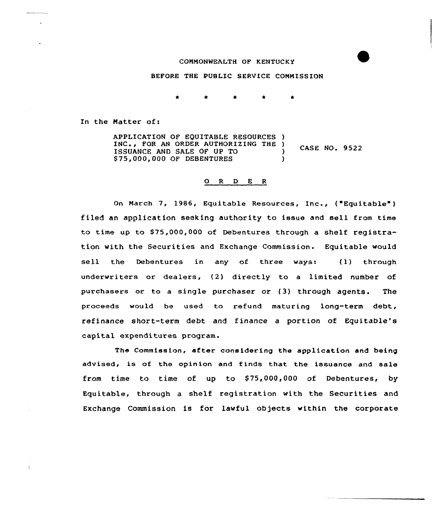## CONMONNEALTH OF KENTUCKY

## BEFORE THE PUBLIC SERVICE COMMISSION

In the Matter of:

APPLICATION OF EQUITABLE RESOURCES ) INC., FOR AN ORDER AUTHORIZING THE ) CASE NO. 9522 ISSUANCE AND SALE OF UP TO ) \$75,000,000 OF DEBENTURES )

## 0 R <sup>D</sup> E <sup>R</sup>

On March 7, 1986, Equitable Resources, Inc., ("Equitable" ) filed an application seeking authority to issue and sell from time to time up to \$75,000,000 of Debentures through a shelf registration with the Securities and Exchange Commission. Equitable would sell the Debentures in any of three ways: (l) through underwriters or dealers, (2) directly to a limited number of purchasers or to a single purchaser or (3) through agents. The proceeds would be used to refund maturing long-term debt, refinance short-term debt and finance a portion of Equitable's capital expenditures program.

The Commission, after considering the application and being advised, is of the opinion and finds that the issuance and sale from time to time of up to \$75,000,000 of Debentures, by Equitable, through a shelf registration with the Securities and Exchange Commission is for lawful objects within the corporate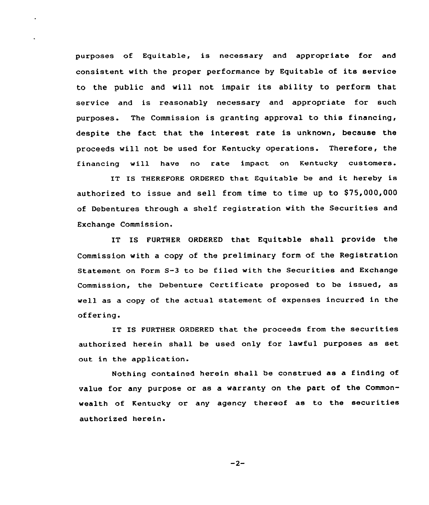purposes of Equitable, is necessary and appropriate for and consistent with the proper performance by Equitable of its service to the public and will not impair its ability to perform that service and is reasonably necessary and appropriate for such purposes. The Commission is granting approval to this financing, despite the fact that the interest rate is unknown, because the proceeds will not be used for Kentucky operations. Therefore, the financing will have no rate impact on Kentucky customers.

IT IS THEREFORE ORDERED that Equitable be and it hereby is authorized to issue and sell from time to time up to \$75,000,000 of Debentures through a shelf registration with the Securities and Exchange Commission.

IT IS FURTHER ORDERED that Equitable shall provide the Commission with a copy of the preliminary form of the Registration Statement on Form S-3 to be filed with the Securities and Exchange Commission, the Debenture Certificate proposed to be issued, as well as a copy of the actual statement of expenses incurred in the offering.

IT IS FURTHER ORDERED that the proceeds from the securities authorized herein shall be used only for lawful purposes as set out in the application.

Nothing contained herein shall be construed as a finding of value for any purpose or as a warranty on the part of the Commonwealth of Kentucky or any agency thereof as to the securities authorized herein.

 $-2-$